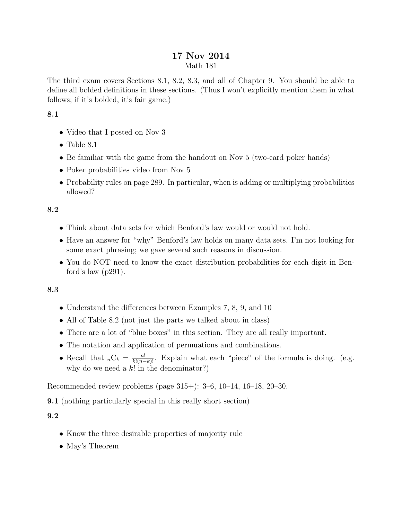# 17 Nov 2014 Math 181

The third exam covers Sections 8.1, 8.2, 8.3, and all of Chapter 9. You should be able to define all bolded definitions in these sections. (Thus I won't explicitly mention them in what follows; if it's bolded, it's fair game.)

## 8.1

- Video that I posted on Nov 3
- Table  $8.1$
- Be familiar with the game from the handout on Nov 5 (two-card poker hands)
- Poker probabilities video from Nov 5
- Probability rules on page 289. In particular, when is adding or multiplying probabilities allowed?

# 8.2

- Think about data sets for which Benford's law would or would not hold.
- Have an answer for "why" Benford's law holds on many data sets. I'm not looking for some exact phrasing; we gave several such reasons in discussion.
- You do NOT need to know the exact distribution probabilities for each digit in Benford's law (p291).

## 8.3

- Understand the differences between Examples 7, 8, 9, and 10
- All of Table 8.2 (not just the parts we talked about in class)
- There are a lot of "blue boxes" in this section. They are all really important.
- The notation and application of permuations and combinations.
- Recall that  ${}_{n}C_{k} = \frac{n!}{k!(n-k)!}$ . Explain what each "piece" of the formula is doing. (e.g. why do we need a  $k!$  in the denominator?)

Recommended review problems (page 315+): 3–6, 10–14, 16–18, 20–30.

9.1 (nothing particularly special in this really short section)

# 9.2

- Know the three desirable properties of majority rule
- May's Theorem